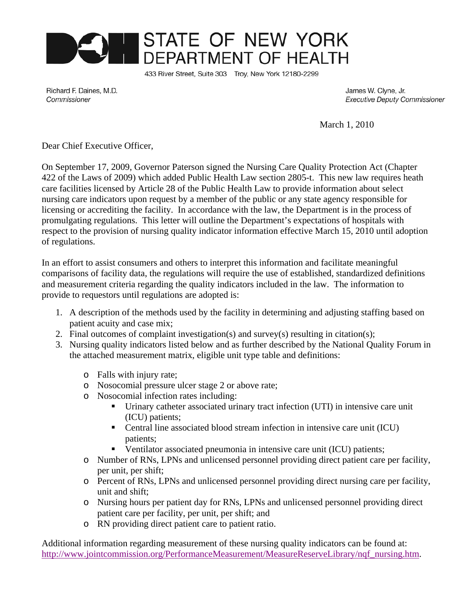

433 River Street, Suite 303 Troy, New York 12180-2299

Richard F. Daines, M.D. Commissioner

James W. Clyne, Jr. **Executive Deputy Commissioner** 

March 1, 2010

Dear Chief Executive Officer,

On September 17, 2009, Governor Paterson signed the Nursing Care Quality Protection Act (Chapter 422 of the Laws of 2009) which added Public Health Law section 2805-t. This new law requires heath care facilities licensed by Article 28 of the Public Health Law to provide information about select nursing care indicators upon request by a member of the public or any state agency responsible for licensing or accrediting the facility. In accordance with the law, the Department is in the process of promulgating regulations. This letter will outline the Department's expectations of hospitals with respect to the provision of nursing quality indicator information effective March 15, 2010 until adoption of regulations.

In an effort to assist consumers and others to interpret this information and facilitate meaningful comparisons of facility data, the regulations will require the use of established, standardized definitions and measurement criteria regarding the quality indicators included in the law. The information to provide to requestors until regulations are adopted is:

- 1. A description of the methods used by the facility in determining and adjusting staffing based on patient acuity and case mix;
- 2. Final outcomes of complaint investigation(s) and survey(s) resulting in citation(s);
- 3. Nursing quality indicators listed below and as further described by the National Quality Forum in the attached measurement matrix, eligible unit type table and definitions:
	- o Falls with injury rate;
	- o Nosocomial pressure ulcer stage 2 or above rate;
	- o Nosocomial infection rates including:
		- Urinary catheter associated urinary tract infection (UTI) in intensive care unit (ICU) patients;
		- Central line associated blood stream infection in intensive care unit (ICU) patients;
		- Ventilator associated pneumonia in intensive care unit (ICU) patients;
	- o Number of RNs, LPNs and unlicensed personnel providing direct patient care per facility, per unit, per shift;
	- o Percent of RNs, LPNs and unlicensed personnel providing direct nursing care per facility, unit and shift;
	- o Nursing hours per patient day for RNs, LPNs and unlicensed personnel providing direct patient care per facility, per unit, per shift; and
	- o RN providing direct patient care to patient ratio.

Additional information regarding measurement of these nursing quality indicators can be found at: http://www.jointcommission.org/PerformanceMeasurement/MeasureReserveLibrary/nqf\_nursing.htm.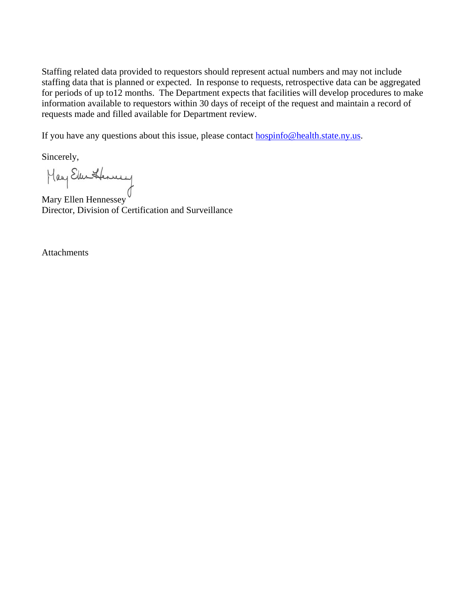Staffing related data provided to requestors should represent actual numbers and may not include staffing data that is planned or expected. In response to requests, retrospective data can be aggregated for periods of up to12 months.The Department expects that facilities will develop procedures to make information available to requestors within 30 days of receipt of the request and maintain a record of requests made and filled available for Department review.

If you have any questions about this issue, please contact **hospinfo@health.state.ny.us.** 

Sincerely,

Mary Ellen Hennessey

Director, Division of Certification and Surveillance

Attachments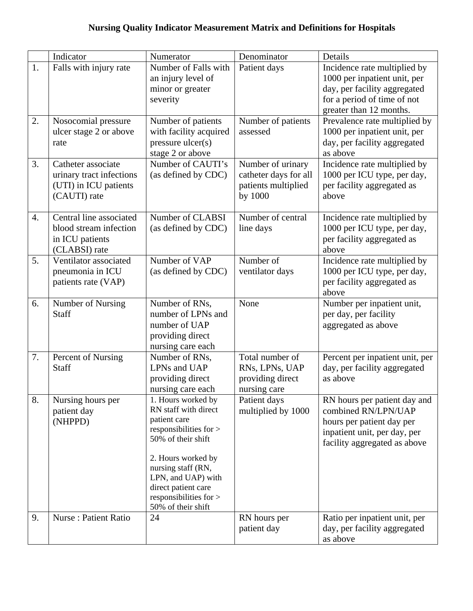|                  | Indicator                                                                               | Numerator                                                                                                                                                                                                                                           | Denominator                                                                  | Details                                                                                                                                                |
|------------------|-----------------------------------------------------------------------------------------|-----------------------------------------------------------------------------------------------------------------------------------------------------------------------------------------------------------------------------------------------------|------------------------------------------------------------------------------|--------------------------------------------------------------------------------------------------------------------------------------------------------|
| 1.               | Falls with injury rate                                                                  | Number of Falls with<br>an injury level of<br>minor or greater<br>severity                                                                                                                                                                          | Patient days                                                                 | Incidence rate multiplied by<br>1000 per inpatient unit, per<br>day, per facility aggregated<br>for a period of time of not<br>greater than 12 months. |
| 2.               | Nosocomial pressure<br>ulcer stage 2 or above<br>rate                                   | Number of patients<br>with facility acquired<br>pressure ulcer(s)<br>stage 2 or above                                                                                                                                                               | Number of patients<br>assessed                                               | Prevalence rate multiplied by<br>1000 per inpatient unit, per<br>day, per facility aggregated<br>as above                                              |
| 3.               | Catheter associate<br>urinary tract infections<br>(UTI) in ICU patients<br>(CAUTI) rate | Number of CAUTI's<br>(as defined by CDC)                                                                                                                                                                                                            | Number of urinary<br>catheter days for all<br>patients multiplied<br>by 1000 | Incidence rate multiplied by<br>1000 per ICU type, per day,<br>per facility aggregated as<br>above                                                     |
| $\overline{4}$ . | Central line associated<br>blood stream infection<br>in ICU patients<br>(CLABSI) rate   | Number of CLABSI<br>(as defined by CDC)                                                                                                                                                                                                             | Number of central<br>line days                                               | Incidence rate multiplied by<br>1000 per ICU type, per day,<br>per facility aggregated as<br>above                                                     |
| 5.               | Ventilator associated<br>pneumonia in ICU<br>patients rate (VAP)                        | Number of VAP<br>(as defined by CDC)                                                                                                                                                                                                                | Number of<br>ventilator days                                                 | Incidence rate multiplied by<br>1000 per ICU type, per day,<br>per facility aggregated as<br>above                                                     |
| 6.               | Number of Nursing<br>Staff                                                              | Number of RNs,<br>number of LPNs and<br>number of UAP<br>providing direct<br>nursing care each                                                                                                                                                      | None                                                                         | Number per inpatient unit,<br>per day, per facility<br>aggregated as above                                                                             |
| 7.               | Percent of Nursing<br>Staff                                                             | Number of RNs,<br>LPNs and UAP<br>providing direct<br>nursing care each                                                                                                                                                                             | Total number of<br>RNs, LPNs, UAP<br>providing direct<br>nursing care        | Percent per inpatient unit, per<br>day, per facility aggregated<br>as above                                                                            |
| 8.               | Nursing hours per<br>patient day<br>(NHPPD)                                             | 1. Hours worked by<br>RN staff with direct<br>patient care<br>responsibilities for ><br>50% of their shift<br>2. Hours worked by<br>nursing staff (RN,<br>LPN, and UAP) with<br>direct patient care<br>responsibilities for ><br>50% of their shift | Patient days<br>multiplied by 1000                                           | RN hours per patient day and<br>combined RN/LPN/UAP<br>hours per patient day per<br>inpatient unit, per day, per<br>facility aggregated as above       |
| 9.               | <b>Nurse: Patient Ratio</b>                                                             | 24                                                                                                                                                                                                                                                  | RN hours per<br>patient day                                                  | Ratio per inpatient unit, per<br>day, per facility aggregated<br>as above                                                                              |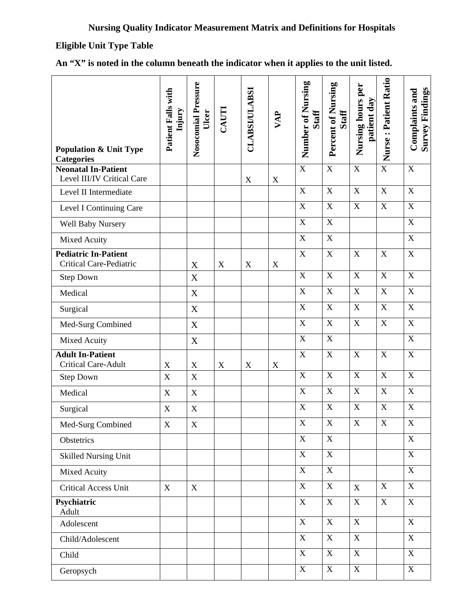# **Eligible Unit Type Table**

| <b>Population &amp; Unit Type</b><br><b>Categories</b>   | Patient Falls with<br>Injury | Nosocomial Pressure<br>Ulcer | CAUTI       | <b>CLABSI/ULABSI</b>      | VAP         | Number of Nursing<br><b>Staff</b> | Percent of Nursing<br><b>Staff</b> | Nursing hours per<br>patient day | Nurse: Patient Ratio    | <b>Survey Findings</b><br>Complaints and |
|----------------------------------------------------------|------------------------------|------------------------------|-------------|---------------------------|-------------|-----------------------------------|------------------------------------|----------------------------------|-------------------------|------------------------------------------|
| <b>Neonatal In-Patient</b><br>Level III/IV Critical Care |                              |                              |             | $\boldsymbol{\mathrm{X}}$ | X           | $\overline{X}$                    | $\mathbf X$                        | $\mathbf X$                      | $\overline{\mathbf{X}}$ | $\mathbf X$                              |
| Level II Intermediate                                    |                              |                              |             |                           |             | X                                 | $\mathbf X$                        | $\mathbf X$                      | $\mathbf X$             | $\mathbf X$                              |
| Level I Continuing Care                                  |                              |                              |             |                           |             | $\boldsymbol{\mathrm{X}}$         | $\mathbf X$                        | $\mathbf X$                      | $\mathbf X$             | $\mathbf X$                              |
| Well Baby Nursery                                        |                              |                              |             |                           |             | $\mathbf X$                       | $\mathbf X$                        |                                  |                         | $\mathbf X$                              |
| Mixed Acuity                                             |                              |                              |             |                           |             | X                                 | $\mathbf X$                        |                                  |                         | $\mathbf X$                              |
| <b>Pediatric In-Patient</b><br>Critical Care-Pediatric   |                              | $\mathbf X$                  | X           | X                         | $\mathbf X$ | $\mathbf X$                       | $\mathbf X$                        | $\mathbf X$                      | $\mathbf X$             | $\mathbf X$                              |
| <b>Step Down</b>                                         |                              | X                            |             |                           |             | $\mathbf X$                       | $\mathbf X$                        | $\mathbf X$                      | $\mathbf X$             | $\mathbf X$                              |
| Medical                                                  |                              | $\mathbf X$                  |             |                           |             | $\mathbf X$                       | $\mathbf X$                        | $\mathbf X$                      | $\mathbf X$             | $\mathbf X$                              |
| Surgical                                                 |                              | $\mathbf X$                  |             |                           |             | $\mathbf X$                       | $\mathbf X$                        | $\mathbf X$                      | $\mathbf X$             | $\mathbf X$                              |
| Med-Surg Combined                                        |                              | X                            |             |                           |             | $\mathbf X$                       | $\mathbf X$                        | $\mathbf X$                      | $\mathbf X$             | $\mathbf X$                              |
| Mixed Acuity                                             |                              | $\mathbf X$                  |             |                           |             | X                                 | $\mathbf X$                        |                                  |                         | $\mathbf X$                              |
| <b>Adult In-Patient</b><br><b>Critical Care-Adult</b>    | $\mathbf X$                  | $\mathbf X$                  | $\mathbf X$ | $\mathbf X$               | $\mathbf X$ | $\mathbf X$                       | $\mathbf X$                        | $\boldsymbol{\mathrm{X}}$        | $\mathbf X$             | $\mathbf X$                              |
| <b>Step Down</b>                                         | $\mathbf X$                  | $\mathbf X$                  |             |                           |             | $\boldsymbol{X}$                  | $\mathbf X$                        | $\mathbf X$                      | $\mathbf X$             | $\mathbf X$                              |
| Medical                                                  | $\boldsymbol{\mathrm{X}}$    | X                            |             |                           |             | $\mathbf X$                       | $\mathbf X$                        | $\mathbf X$                      | $\mathbf X$             | $\mathbf X$                              |
| Surgical                                                 | X                            | X                            |             |                           |             | $\mathbf X$                       | $\mathbf X$                        | $\mathbf X$                      | $\mathbf X$             | $\mathbf X$                              |
| Med-Surg Combined                                        | $\mathbf X$                  | $\mathbf X$                  |             |                           |             | X                                 | X                                  | X                                | X                       | X                                        |
| Obstetrics                                               |                              |                              |             |                           |             | $\mathbf X$                       | $\overline{X}$                     |                                  |                         | $\overline{X}$                           |
| <b>Skilled Nursing Unit</b>                              |                              |                              |             |                           |             | $\mathbf X$                       | $\mathbf X$                        |                                  |                         | $\mathbf X$                              |
| Mixed Acuity                                             |                              |                              |             |                           |             | $\mathbf X$                       | $\mathbf X$                        |                                  |                         | $\mathbf X$                              |
| Critical Access Unit                                     | X                            | $\boldsymbol{X}$             |             |                           |             | $\mathbf X$                       | X                                  | $\mathbf X$                      | $\mathbf X$             | $\overline{X}$                           |
| Psychiatric<br>Adult                                     |                              |                              |             |                           |             | $\mathbf X$                       | $\mathbf X$                        | $\mathbf X$                      | $\mathbf X$             | $\mathbf X$                              |
| Adolescent                                               |                              |                              |             |                           |             | $\mathbf X$                       | $\mathbf X$                        | $\mathbf X$                      |                         | $\overline{X}$                           |
| Child/Adolescent                                         |                              |                              |             |                           |             | X                                 | $\mathbf X$                        | $\mathbf X$                      |                         | $\mathbf X$                              |
| Child                                                    |                              |                              |             |                           |             | $\mathbf X$                       | $\overline{\text{X}}$              | $\mathbf X$                      |                         | $\overline{X}$                           |
| Geropsych                                                |                              |                              |             |                           |             | $\mathbf X$                       | $\mathbf X$                        | $\mathbf X$                      |                         | $\mathbf X$                              |

|  |  |  |  |  |  |  | An "X" is noted in the column beneath the indicator when it applies to the unit listed. |
|--|--|--|--|--|--|--|-----------------------------------------------------------------------------------------|
|--|--|--|--|--|--|--|-----------------------------------------------------------------------------------------|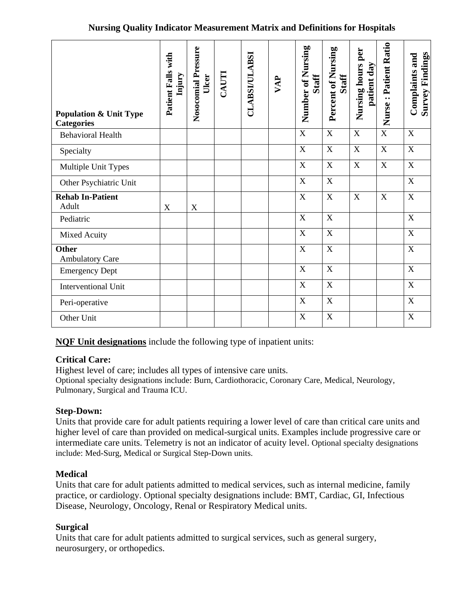#### **Nursing Quality Indicator Measurement Matrix and Definitions for Hospitals**

| <b>Population &amp; Unit Type</b><br><b>Categories</b> | Patient Falls with<br>Injury | Nosocomial Pressure<br>Ulcer | CAUTI | <b>CLABSI/ULABSI</b> | VAP | Number of Nursing<br>Staff | Percent of Nursing<br><b>Staff</b> | per<br>Nursing hours<br>patient day | Nurse: Patient Ratio | <b>Survey Findings</b><br>Complaints and |
|--------------------------------------------------------|------------------------------|------------------------------|-------|----------------------|-----|----------------------------|------------------------------------|-------------------------------------|----------------------|------------------------------------------|
| <b>Behavioral Health</b>                               |                              |                              |       |                      |     | $\mathbf X$                | $\mathbf X$                        | $\mathbf X$                         | $\overline{X}$       | X                                        |
| Specialty                                              |                              |                              |       |                      |     | $\mathbf X$                | $\mathbf X$                        | $\boldsymbol{\mathrm{X}}$           | $\mathbf X$          | $\mathbf X$                              |
| Multiple Unit Types                                    |                              |                              |       |                      |     | X                          | $\mathbf X$                        | $\mathbf X$                         | $\mathbf X$          | $\mathbf X$                              |
| Other Psychiatric Unit                                 |                              |                              |       |                      |     | $\overline{\text{X}}$      | $\mathbf X$                        |                                     |                      | $\mathbf X$                              |
| <b>Rehab In-Patient</b><br>Adult                       | X                            | X                            |       |                      |     | $\mathbf X$                | $\mathbf X$                        | $\boldsymbol{\mathrm{X}}$           | $\mathbf X$          | $\mathbf X$                              |
| Pediatric                                              |                              |                              |       |                      |     | $\mathbf X$                | $\mathbf X$                        |                                     |                      | $\boldsymbol{X}$                         |
| Mixed Acuity                                           |                              |                              |       |                      |     | $\mathbf X$                | X                                  |                                     |                      | X                                        |
| <b>Other</b><br><b>Ambulatory Care</b>                 |                              |                              |       |                      |     | $\mathbf X$                | $\mathbf X$                        |                                     |                      | X                                        |
| <b>Emergency Dept</b>                                  |                              |                              |       |                      |     | $\mathbf X$                | $\mathbf X$                        |                                     |                      | $\mathbf X$                              |
| <b>Interventional Unit</b>                             |                              |                              |       |                      |     | $\mathbf X$                | $\mathbf X$                        |                                     |                      | $\boldsymbol{X}$                         |
| Peri-operative                                         |                              |                              |       |                      |     | $\mathbf X$                | $\mathbf X$                        |                                     |                      | X                                        |
| Other Unit                                             |                              |                              |       |                      |     | $\boldsymbol{\mathrm{X}}$  | $\mathbf X$                        |                                     |                      | X                                        |

**NQF Unit designations** include the following type of inpatient units:

# **Critical Care:**

Highest level of care; includes all types of intensive care units. Optional specialty designations include: Burn, Cardiothoracic, Coronary Care, Medical, Neurology, Pulmonary, Surgical and Trauma ICU.

# **Step-Down:**

Units that provide care for adult patients requiring a lower level of care than critical care units and higher level of care than provided on medical-surgical units. Examples include progressive care or intermediate care units. Telemetry is not an indicator of acuity level. Optional specialty designations include: Med-Surg, Medical or Surgical Step-Down units.

# **Medical**

Units that care for adult patients admitted to medical services, such as internal medicine, family practice, or cardiology. Optional specialty designations include: BMT, Cardiac, GI, Infectious Disease, Neurology, Oncology, Renal or Respiratory Medical units.

# **Surgical**

Units that care for adult patients admitted to surgical services, such as general surgery, neurosurgery, or orthopedics.